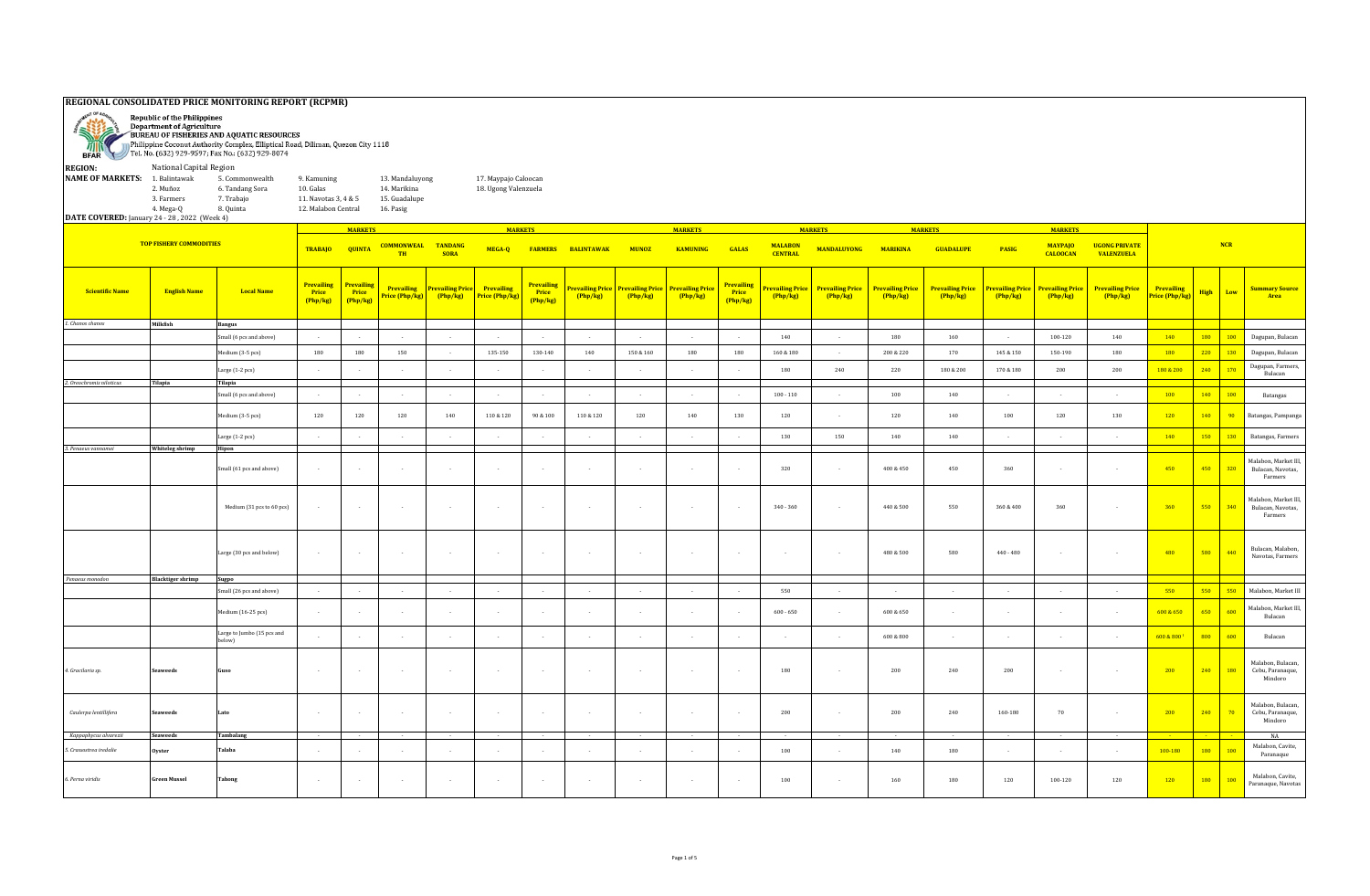## **REGIONAL CONSOLIDATED PRICE MONITORING REPORT (RCPMR) Republic of the Philippines ANTISER** Department of Agriculture BUREAU OF FISHERIES AND AQUATIC RESOURCES Ø Philippine Coconut Authority Complex, Elliptical Road, Diliman, Quezon City 1118 Tel. No. (632) 929-9597; Fax No.: (632) 929-8074 **BFAR REGION:** National Capital Region **NAME OF MARKETS:** 1. Balintawak 5. Commonwealth 9. Kamuning 13. Mandaluyong 17. Maypajo Caloocan<br>2. Muñoz 6. Tandang Sora 10. Galas 14. Marikina 18. Ugong Valenzuela 2. Muñoz 6. Tandang Sora 10. Galas 14. Marikina 18. Ugong Valenzuela 3. Farmers 7. Trabajo 11. Navotas 3, 4 & 5 15. Guadalupe 4. Mega-Q 8. Quinta 12. Malabon Central 16. Pasig **DATE COVERED:** January 24 - 28 , 2022 (Week 4) **MARKETS MARKETS MARKETS MARKETS MARKETS MARKETS TOP FISHERY COMMODITIES NCR MALABON CENTRAL MANDALUYONG MARIKINA GUADALUPE PASIG MAYPAJO UGONG PRIVATE TRABAJO QUINTA COMMONWEAL MUNOZ TANDANG SORA MEGA-Q FARMERS BALINTAWAK KAMUNING GALAS TH CALOOCAN VALENZUELA Prevailing Prevailing Prevailing Prevailing Prevailing Prevailing Price Prevailing Prevailing Price Prevailing Price Prevailing Price Prevailing Price Prevailing Price Prevailing Price Prevailing Price Prevailing Price Prevailing Price Prevailing Price Prevailing Price (Php/kg) High Low Summary Source Scientific Name English Name Local Name Price Price Price Price (Php/kg) (Php/kg) (Php/kg) (Php/kg) Price (Php/kg) (Php/kg) Price (Php/kg) (Php/kg) (Php/kg) (Php/kg) (Php/kg) (Php/kg) (Php/kg) Area (Php/kg) (Php/kg) (Php/kg) (Php/kg)** *1. Chanos chanos* **Milkfish Bangus** Small (6 pcs and above) - - - - - - - - - - 140 - 180 160 - 100-120 140 140 180 100 Dagupan, Bulacan Medium (3-5 pcs) | 180 | 180 | 150 | - | 135-150 | 130-140 | 140 | 150-& 160 | 180 | 160-& 180 | 200-220 | 170 | 145-& 150 | 150-190 | 180 <mark>| 180 | 220 | 130</mark> Dagupan, Bulacan Large (1-2 pcs) - - - - - - - - - - <sup>180</sup> <sup>240</sup> <sup>220</sup> 180 & 200 170 & 180 <sup>200</sup> <sup>200</sup> 180 & 200 <sup>240</sup> <sup>170</sup> Dagupan, Farmers, pan, rarm<br>Bulacan *2. Oreochromis niloticus* **Tilapia Tilapia** Small (6 pcs and above) - - - - - - - - - - 100 - 110 - 100 140 - - - 100 140 100 Batangas Medium (3-5 pcs) | 120 | 120 | 140 | 110 &120 | 90 &100 | 110 &120 | 140 | 130 | 120 | 140 | 120 | 120 | 120 | 120 | 140 | 90 | Batangas, Pampanga Large (1-2 pcs) - - - - - - - - - - 130 150 140 140 - - - 140 150 130 Batangas, Farmers *3. Penaeus vannamei* **Whiteleg shrimp Hipon** Malabon, Market III, Bulacan, Navotas, Small (61 pcs and above) - - - - - - - - - - 320 - 400 & 450 450 360 - - 450 450 320 Farmers Malabon, Market III, Bulacan, Navotas, Medium (31 pcs to 60 pcs) - - - - - - - - - - 340 - 360 - 440 & 500 550 360 & 400 360 - 360 550 340 Farmers Large (30 pcs and below) - - - - - - - - - - - - 480 & 500 <sup>580</sup> 440 - 480 - - <sup>480</sup> <sup>580</sup> <sup>440</sup> Bulacan, Malabon, Navotas, Farmers  *Penaeus monodon* **Blacktiger shrimp Sugpo** Small (26 pcs and above) - - - - - - - - - - 550 - - - - - - 550 550 550 Malabon, Market III Medium (16-25 pcs) - - - - - - - - - - 600 - 650 - 600 & 650 - - - - 600 & 650 <sup>650</sup> <sup>600</sup> Malabon, Market III, Bulacan Large to Jumbo (15 pcs and مست المسلم المسلم المسلم المسلم المسلم المسلم المسلم المسلم المسلم المسلم المسلم المسلم المسلم المسلم المسلم ا<br>المسلم المسلم المسلم المسلم المسلم المسلم المسلم المسلم المسلم المسلم المسلم المسلم المسلم المسلم المسلم المسل Malabon, Bulacan, *4. Gracilaria sp.* **Seaweeds Guso** - - - - - - - - - - 180 - 200 240 200 - - 200 240 180 Cebu, Paranaque, Mindoro Malabon, Bulacan,  *Caulerpa lentillifera* **Seaweeds Lato** - - - - - - - - - - 200 - 200 240 160-180 70 - 200 240 70 Cebu, Paranaque, Mindoro  *Kappaphycus alvarezii* **Seaweeds Tambalang** - - - - - - - - - - - - - - - - - - - - NA *5. Crassostrea iredalie* **Oyster Talaba** - - - - - - - - - - <sup>100</sup> - <sup>140</sup> <sup>180</sup> - - - 100-180 <sup>180</sup> <sup>100</sup> Malabon, Cavite, Paranaque *6. Perna viridis* **Green Mussel Tahong** - - - - - - - - - - <sup>100</sup> - <sup>160</sup> <sup>180</sup> <sup>120</sup> 100-120 <sup>120</sup> <sup>120</sup> <sup>180</sup> <sup>100</sup> Malabon, Cavite, Paranaque, Navotas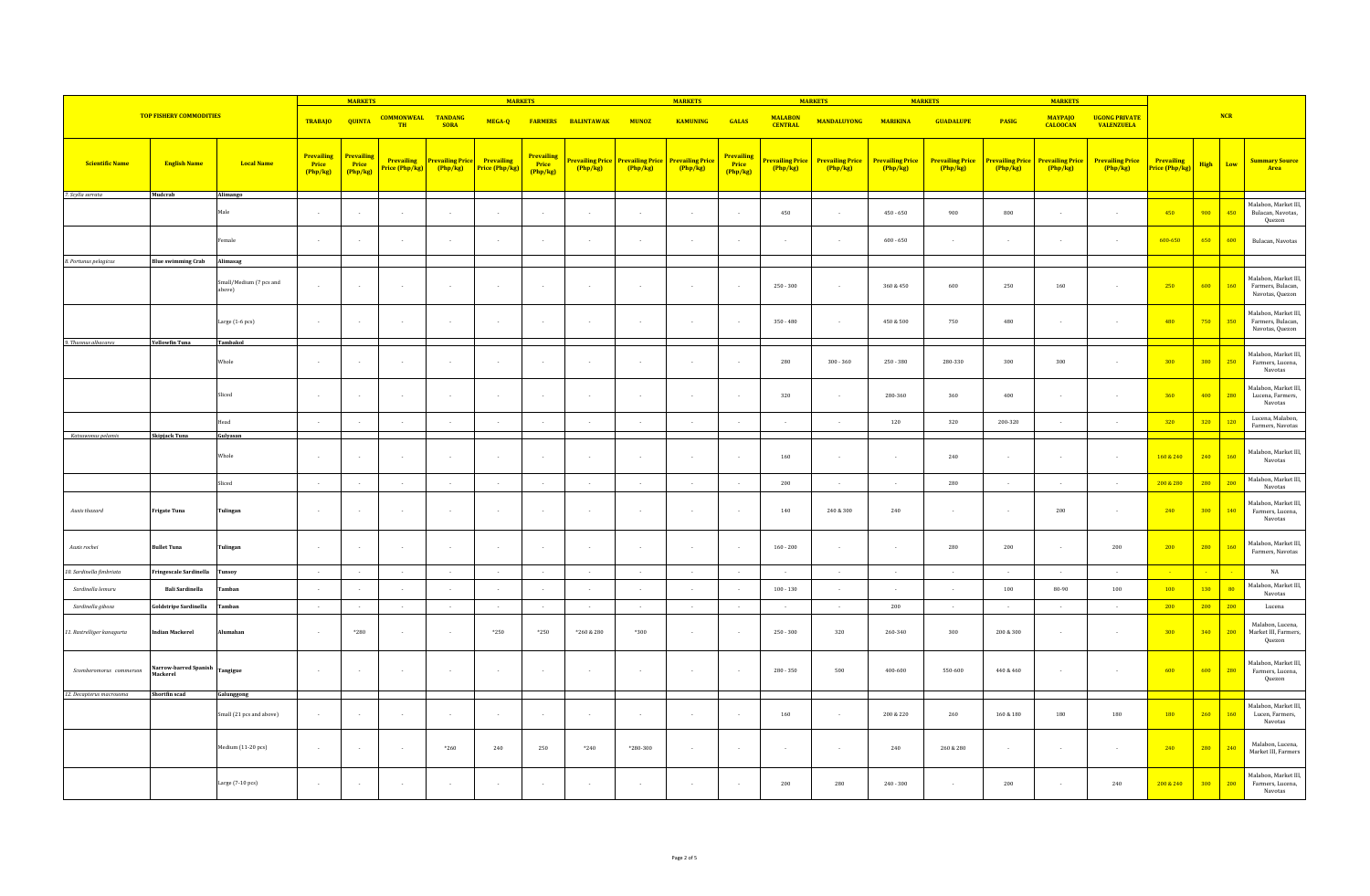|                                |                                   | <b>MARKETS</b>                    |                                        |                                      |                                | <b>MARKETS</b>                    |                              |                                        |                            | <b>MARKETS</b> |                                                    |                                      | <b>MARKETS</b>                   |                                   | <b>MARKETS</b>                    |                                   | <b>MARKETS</b>             |                                   |                                           |                              |             |     |                                                              |
|--------------------------------|-----------------------------------|-----------------------------------|----------------------------------------|--------------------------------------|--------------------------------|-----------------------------------|------------------------------|----------------------------------------|----------------------------|----------------|----------------------------------------------------|--------------------------------------|----------------------------------|-----------------------------------|-----------------------------------|-----------------------------------|----------------------------|-----------------------------------|-------------------------------------------|------------------------------|-------------|-----|--------------------------------------------------------------|
| <b>TOP FISHERY COMMODITIES</b> |                                   |                                   | <b>TRABAJO</b>                         | <b>QUINTA</b>                        | <b>COMMONWEAL</b><br><b>TH</b> | <b>TANDANG</b><br><b>SORA</b>     | MEGA-Q                       | <b>FARMERS</b>                         | <b>BALINTAWAK</b>          | <b>MUNOZ</b>   | <b>KAMUNING</b>                                    | <b>GALAS</b>                         | <b>MALABON</b><br><b>CENTRAL</b> | <b>MANDALUYONG</b>                | <b>MARIKINA</b>                   | <b>GUADALUPE</b>                  | <b>PASIG</b>               | <b>MAYPAJO</b><br><b>CALOOCAN</b> | <b>UGONG PRIVATE</b><br><b>VALENZUELA</b> |                              |             | NCR |                                                              |
| <b>Scientific Name</b>         | <b>English Name</b>               | <b>Local Name</b>                 | <b>Prevailing</b><br>Price<br>(Php/kg) | <b>Prevailing</b><br>Price<br>Php/kg | Prevailing<br>Price (Php/kg)   | <b>Prevailing Price</b><br>Php/kg | Prevailing<br>Price (Php/kg) | <b>Prevailing</b><br>Price<br>(Php/kg) | Prevailing Price<br>Php/kg | Php/kg         | <b>Prevailing Price Prevailing Price</b><br>Php/kg | <b>Prevailing</b><br>Price<br>Php/kg | <b>revailing Price</b><br>Php/kg | <b>Prevailing Price</b><br>Php/kg | <b>Prevailing Price</b><br>Php/kg | <b>Prevailing Price</b><br>Php/kg | Prevailing Price<br>Php/kg | <b>Prevailing Price</b><br>Php/kg | <b>Prevailing Price</b><br>Php/kg         | Prevailing<br>Price (Php/kg) | <b>High</b> | Low | <b>Summary Source</b><br>Area                                |
| 7. Scylla serrata              | Mudcrab                           | Alimango                          |                                        |                                      |                                |                                   |                              |                                        |                            |                |                                                    |                                      |                                  |                                   |                                   |                                   |                            |                                   |                                           |                              |             |     |                                                              |
|                                |                                   | Male                              | $\sim$                                 |                                      | ۰.                             | $\sim$                            | $\sim$                       | $\sim$                                 |                            |                |                                                    | $\sim$                               | 450                              | $\sim$                            | $450 - 650$                       | 900                               | 800                        | $\sim$                            |                                           | 450                          | 900         | 450 | Malabon, Market III,<br>Bulacan, Navotas,<br>Quezon          |
|                                |                                   | Female                            | $\sim$ 10 $\pm$                        |                                      | ۰.                             | $\sim$                            | $\sim$                       | $\sim$                                 |                            |                |                                                    | $\sim$                               | ÷.                               | ÷.                                | $600 - 650$                       | in 1919.                          |                            | $\sim$                            | $\sim$                                    | 600-650                      | 650         | 600 | Bulacan, Navotas                                             |
| 8. Portunus pelagicus          | <b>Blue swimming Crab</b>         | Alimasag                          |                                        |                                      |                                |                                   |                              |                                        |                            |                |                                                    |                                      |                                  |                                   |                                   |                                   |                            |                                   |                                           |                              |             |     |                                                              |
|                                |                                   | Small/Medium (7 pcs and<br>above) | $\sim$                                 |                                      | $\overline{\phantom{a}}$       | $\alpha$                          | $\sim$                       | $\sim$                                 |                            |                |                                                    | $\sim$                               | $250 - 300$                      | $\sim$                            | 360 & 450                         | 600                               | 250                        | 160                               | $\sim$                                    | 250                          | 600         | 160 | Malabon, Market III,<br>Farmers, Bulacan,<br>Navotas, Quezon |
|                                |                                   | Large (1-6 pcs)                   | $\sim$                                 |                                      |                                |                                   |                              |                                        |                            |                |                                                    |                                      | $350 - 480$                      |                                   | 450 & 500                         | 750                               | 480                        |                                   |                                           | 480                          | 750         | 350 | Malabon, Market III,<br>Farmers, Bulacan,<br>Navotas, Quezon |
| 9. Thunnus albacares           | <b>Yellowfin Tuna</b>             | Tambakol                          |                                        |                                      |                                |                                   |                              |                                        |                            |                |                                                    |                                      |                                  |                                   |                                   |                                   |                            |                                   |                                           |                              |             |     |                                                              |
|                                |                                   | Whole                             | $\sim$                                 |                                      | $\sim$                         | $\sim$                            | $\sim$                       | $\sim$                                 | $\sim$                     |                | $\sim$                                             | $\sim$                               | 280                              | $300 - 360$                       | $250 - 380$                       | 280-330                           | 300                        | 300                               | $\sim$                                    | 300                          | 380         | 250 | Malabon, Market III,<br>Farmers, Lucena,<br>Navotas          |
|                                |                                   | Sliced                            | $\sim$                                 | $\sim$                               | $\sim$                         | $\sim$                            | $\sim$                       | $\sim$                                 | $\sim$                     | $\sim$         | $\sim$                                             | $\sim$                               | 320                              | $\sim$                            | 280-360                           | 360                               | 400                        | $\sim$                            | $\sim$                                    | 360                          | 400         | 280 | Malabon, Market III,<br>Lucena, Farmers,<br>Navotas          |
|                                |                                   | lead                              | $\sim$                                 |                                      |                                | $\cdot$                           | $\sim$                       | $\sim$                                 |                            |                |                                                    | $\sim$                               |                                  | $\sim$                            | 120                               | 320                               | 200-320                    | $\sim$                            |                                           | 320                          | 320         | 120 | Lucena, Malabon,                                             |
| Katsuwonus pelamis             | Skipjack Tuna                     | Gulyasan                          |                                        |                                      |                                |                                   |                              |                                        |                            |                |                                                    |                                      |                                  |                                   |                                   |                                   |                            |                                   |                                           |                              |             |     | Farmers, Navotas                                             |
|                                |                                   | Whole                             | $\sim$                                 | $\sim$                               | $\sim$                         | $\sim$                            | $\sim$                       | $\sim$                                 | $\sim$                     |                | $\sim$                                             | $\sim$                               | 160                              | $\sim$                            | $\sim$                            | 240                               | $\sim$                     | $\sim$                            | $\sim$                                    | 160 & 240                    | 240         | 160 | Malabon, Market III,<br>Navotas                              |
|                                |                                   |                                   |                                        |                                      |                                |                                   |                              |                                        |                            |                |                                                    |                                      |                                  |                                   |                                   |                                   |                            |                                   |                                           | 200 & 280                    | 280         | 200 | Malabon, Market III,                                         |
|                                |                                   | Sliced                            | $\sim 100$                             | $\sim$                               | $\sim$<br>۰.                   | $\sim$<br>$\sim$                  | $\sim$<br>$\sim$             | $\sim$<br>$\sim$                       | $\sim$                     | $\sim$         | $\sim$<br>$\sim$                                   | $\cdot$<br>$\sim$                    | 200                              | $\sim$                            | $\sim$                            | 280<br>in a                       | $\sim$<br>×.               | $\sim$                            | $\sim$<br>$\sim$                          |                              | 300         | 140 | Navotas<br>Malabon, Market III,                              |
| Auxis thazard                  | Frigate Tuna                      | Tulingan                          | $\sim$ $\sim$                          |                                      |                                |                                   |                              |                                        |                            |                |                                                    |                                      | 140                              | 240 & 300                         | 240                               |                                   |                            | $200\,$                           |                                           | 240                          |             |     | Farmers, Lucena,<br>Navotas                                  |
| Auxis rochei                   | ullet Tuna                        | Tulingan                          | $\sim$                                 |                                      | $\sim$                         | $\sim$                            | $\sim$                       | $\sim$                                 | $\sim$                     |                | $\sim$                                             | $\sim$                               | $160 - 200$                      | $\sim$                            | $\sim$                            | 280                               | 200                        | $\sim$                            | 200                                       | 200                          | 280         | 160 | Malabon, Market III,<br>Farmers, Navotas                     |
| 10. Sardinella fimbriata       | Fringescale Sardinella            | unsoy                             | $\sim 10^{-1}$                         | $\sim$                               | $\sim$                         | $\sim$                            | $\sim 10^{-1}$               | $\sim$                                 | $\sim$                     | $\sim$         | $\sim$                                             | $\sim$                               | $\sim$ $\sim$                    | $\sim$                            | $\sim$ $\sim$                     | $\sim$                            | $\sim$                     | $\sim$                            | $\sim$                                    | - 1                          |             |     | $_{\rm NA}$                                                  |
| Sardinella lemuru              | <b>Bali Sardinella</b>            | amban                             | $\sim$                                 |                                      |                                |                                   | ÷.                           |                                        |                            |                |                                                    |                                      | $100 - 130$                      |                                   |                                   |                                   | 100                        | 80-90                             | 100                                       | 100                          | 130         | 80  | Malabon, Market III,<br>Navotas                              |
| Sardinella gibosa              | Goldstripe Sardinella             | amban                             | $\sim 10$                              | $\sim$                               | $\sim$                         | $\sim$ $\sim$                     | $\sim 10^{-1}$               | $\sim$                                 | $\sim 10^{-1}$             | $\sim$         | $\sim$                                             | $\sim$                               | $\sim$ $\sim$                    | $\sim$                            | 200                               | $\sim$                            | $\sim$                     | $\sim$                            | $\sim$                                    | 200                          | 200         | 200 | Lucena                                                       |
| 11. Rastrelliger kanagurta     | ndian Mackerel                    | <b>Alumahan</b>                   | $\sim$ 10 $\pm$                        | *280                                 | $\overline{\phantom{a}}$       | $\sim$                            | $*250$                       | $*250$                                 | *260 & 280                 | $*300$         | $\sim$                                             | $\sim$                               | $250 - 300$                      | 320                               | 260-340                           | 300                               | 200 & 300                  | $\sim$                            | $\sim$                                    | 300                          | 340         | 200 | Malabon, Lucena,<br>Market III, Farmers,<br>Quezon           |
| Scomberomorus commerson        | Narrow-barred Spanish<br>Mackerel | Tangigue                          | $\sim$                                 | $\sim$                               | $\sim$                         | $\sim$                            | $\sim$                       | $\sim$                                 | $\sim$                     |                | $\sim$                                             | $\sim$                               | 280 - 350                        | 500                               | $400 - 600$                       | 550-600                           | 440 & 460                  | $\sim$                            | $\sim$                                    | $-600$                       | 600         | 280 | Malabon, Market III,<br>Farmers, Lucena,<br>Quezon           |
| 12. Decapterus macrosoma       | Shortfin scad                     | Galunggong                        |                                        |                                      |                                |                                   |                              |                                        |                            |                |                                                    |                                      |                                  |                                   |                                   |                                   |                            |                                   |                                           |                              |             |     |                                                              |
|                                |                                   | Small (21 pcs and above)          | $\sim$                                 |                                      | $\overline{\phantom{a}}$       | $\sim$                            | $\sim$                       | $\sim$                                 |                            |                | $\sim$                                             | $\sim$                               | 160                              | $\sim$                            | 200 & 220                         | 260                               | $160\ \&\ 180$             | 180                               | 180                                       | 180                          | 260         | 160 | Malabon, Market III,<br>Lucen, Farmers,<br>Navotas           |
|                                |                                   | Medium (11-20 pcs)                | $\sim$                                 |                                      | $\overline{\phantom{a}}$       | $*260$                            | 240                          | 250                                    | $*240$                     | *280-300       | $\sim$                                             | $\sim$                               | $\sim$                           | $\sim$                            | 240                               | 260 & 280                         | $\sim$                     | $\sim$                            | $\sim$                                    | 240                          | 280         | 240 | Malabon, Lucena,<br>Market III, Farmers                      |
|                                |                                   | Large (7-10 pcs)                  | $\sim$                                 |                                      |                                |                                   | $\sim$                       | $\sim$                                 |                            |                |                                                    | ÷.                                   | 200                              | 280                               | $240 - 300$                       |                                   | 200                        |                                   | 240                                       | 200 & 240                    | 300         | 200 | Malabon, Market III,<br>Farmers, Lucena,<br>Navotas          |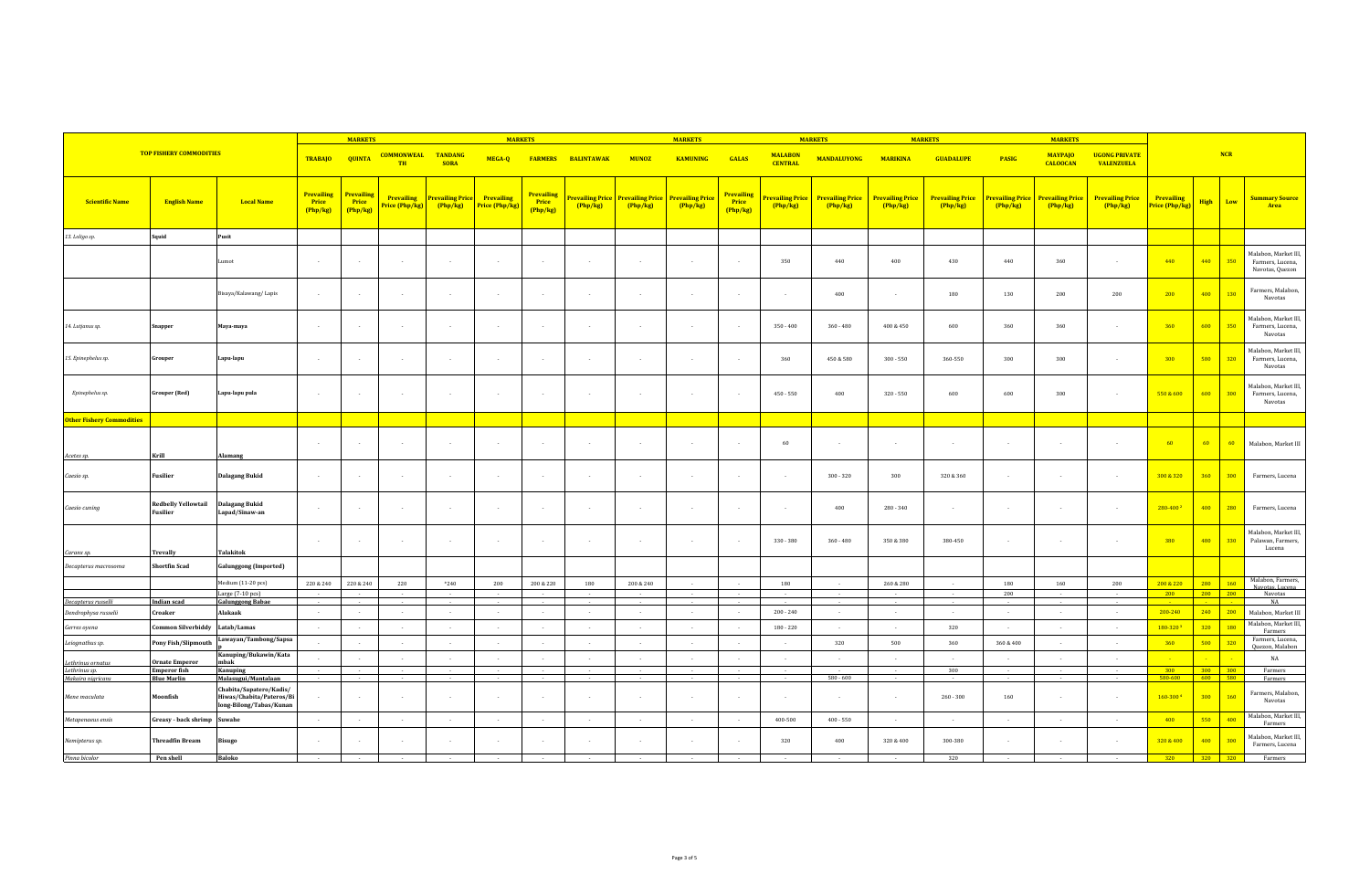|                                    |                                           |                                                                                |                                        | <b>MARKETS</b>                |                                     | <b>MARKETS</b>                    |                                     |                                 |                                   |              | <b>MARKETS</b>                                       |                               |                                   | <b>MARKETS</b>                    | <b>MARKETS</b>                    |                                   |                                   | <b>MARKETS</b>                    |                                           |                                     |     |                |                                                             |
|------------------------------------|-------------------------------------------|--------------------------------------------------------------------------------|----------------------------------------|-------------------------------|-------------------------------------|-----------------------------------|-------------------------------------|---------------------------------|-----------------------------------|--------------|------------------------------------------------------|-------------------------------|-----------------------------------|-----------------------------------|-----------------------------------|-----------------------------------|-----------------------------------|-----------------------------------|-------------------------------------------|-------------------------------------|-----|----------------|-------------------------------------------------------------|
|                                    | <b>TOP FISHERY COMMODITIES</b>            |                                                                                | <b>TRABAJO</b>                         | <b>QUINTA</b>                 | <b>COMMONWEAL</b><br><b>TH</b>      | <b>TANDANG</b><br><b>SORA</b>     | MEGA-Q                              |                                 | <b>FARMERS BALINTAWAK</b>         | <b>MUNOZ</b> | <b>KAMUNING</b>                                      | <b>GALAS</b>                  | <b>MALABON</b><br><b>CENTRAL</b>  | <b>MANDALUYONG</b>                | <b>MARIKINA</b>                   | <b>GUADALUPE</b>                  | <b>PASIG</b>                      | <b>MAYPAJO</b><br><b>CALOOCAN</b> | <b>UGONG PRIVATE</b><br><b>VALENZUELA</b> |                                     |     | NCR            |                                                             |
| <b>Scientific Name</b>             | <b>English Name</b>                       | <b>Local Name</b>                                                              | <b>Prevailing</b><br>Price<br>(Php/kg) | Prevailing<br>Price<br>Php/kg | <b>Prevailing</b><br>Price (Php/kg) | <b>Prevailing Price</b><br>Php/kg | <b>Prevailing</b><br>Price (Php/kg) | Prevailing<br>Price<br>(Php/kg) | <b>Prevailing Price</b><br>Php/kg | Php/kg       | <b>Prevailing Price Prevailing Price</b><br>(Php/kg) | Prevailing<br>Price<br>Php/kg | <b>Prevailing Price</b><br>Php/kg | <b>Prevailing Price</b><br>Php/kg | <b>Prevailing Price</b><br>Php/kg | <b>Prevailing Price</b><br>Php/kg | <b>Prevailing Price</b><br>Php/kg | <b>Prevailing Price</b><br>Php/kg | <b>Prevailing Price</b><br>(Php/kg)       | <b>Prevailing</b><br>Price (Php/kg) |     | High Low       | <b>Summary Source</b><br>Area                               |
| 13. Loligo sp.                     | Squid                                     | Pusit                                                                          |                                        |                               |                                     |                                   |                                     |                                 |                                   |              |                                                      |                               |                                   |                                   |                                   |                                   |                                   |                                   |                                           |                                     |     |                |                                                             |
|                                    |                                           | Lumot                                                                          | $\sim 10$                              | $\sim$                        | $\sim$                              | $\sim$                            | $\sim$                              | $\sim$                          | $\sim$                            | $\sim$       | $\sim$                                               | $\sim$                        | 350                               | 440                               | 400                               | 430                               | 440                               | 360                               | $\sim$                                    | 440                                 | 440 | 350            | Malabon, Market III,<br>Farmers, Lucena,<br>Navotas, Quezon |
|                                    |                                           | Bisaya/Kalawang/Lapis                                                          | $\sim$                                 |                               | $\sim$                              | $\sim$                            | $\sim$                              |                                 |                                   |              |                                                      | $\sim$                        | $\sim$                            | 400                               | $\sim$                            | 180                               | 130                               | 200                               | 200                                       | 200                                 | 400 | 130            | Farmers, Malabon,<br>Navotas                                |
| 14. Lutjanus sp.                   | Snapper                                   | Maya-maya                                                                      | $\sim$                                 |                               | $\sim$                              | $\sim$                            | $\sim$                              |                                 | . п.                              | - 1          | $\sim$                                               | $\sim$                        | $350 - 400$                       | $360 - 480$                       | 400 & 450                         | 600                               | 360                               | 360                               | $\sim$                                    | 360                                 | 600 | 350            | Malabon, Market III<br>Farmers, Lucena,<br>Navotas          |
| 15. Epinephelus sp.                | Grouper                                   | Lapu-lapu                                                                      | $\sim$                                 |                               | $\sim$                              | $\sim$                            | $\sim$                              |                                 | . п.                              | $\sim$       | $\sim$                                               | $\sim$                        | 360                               | 450 & 580                         | $300 - 550$                       | 360-550                           | 300                               | 300                               | $\sim$                                    | 300                                 | 580 | 320            | Malabon, Market III,<br>Farmers, Lucena,<br>Navotas         |
| Epinephelus sp.                    | <b>Grouper</b> (Red)                      | Lapu-lapu pula                                                                 | $\sim$                                 |                               | $\overline{\phantom{a}}$            | $\sim$                            | $\sim$                              |                                 | $\sim$                            | $\sim$       | $\sim$                                               | $\sim$                        | $450 - 550$                       | 400                               | $320 - 550$                       | 600                               | 600                               | 300                               | $\sim$                                    | 550 & 600                           | 600 | 300            | Malabon, Market III<br>Farmers, Lucena,<br>Navotas          |
| <b>Other Fishery Commodities</b>   |                                           |                                                                                |                                        |                               |                                     |                                   |                                     |                                 |                                   |              |                                                      |                               |                                   |                                   |                                   |                                   |                                   |                                   |                                           |                                     |     |                |                                                             |
| Acetes sp.                         | Krill                                     | Alamang                                                                        | $\sim$                                 |                               | $\sim$                              | $\sim$                            | $\sim$                              |                                 |                                   | $\sim$       | $\sim$                                               | $\sim$                        | 60                                | $\sim$                            | $\sim$                            | $\sim$                            | $\sim$                            | $\sim$                            | $\sim$                                    | $-60$                               | 60  | 60             | Malabon, Market III                                         |
| Caesio sp.                         | <b>Fusilier</b>                           | <b>Dalagang Bukid</b>                                                          | $\sim$                                 |                               | $\sim$                              | $\sim$                            | $\sim$                              |                                 | . п.                              | - 1          | $\sim$                                               | $\sim$                        | $\sim$                            | $300 - 320$                       | 300                               | 320 & 360                         | $\sim$                            | $\sim$                            | $\sim$                                    | 300 & 320                           | 360 | 300            | Farmers, Lucena                                             |
| Caesio cuning                      | <b>Redbelly Yellowtail</b><br>Fusilier    | Dalagang Bukid<br>Lapad/Sinaw-an                                               | $\sim$                                 |                               | $\sim$                              | $\sim$                            | $\sim$                              |                                 |                                   |              | $\sim$                                               | $\sim$                        | $\sim$                            | 400                               | $280 - 340$                       | $\sim$                            | $\sim$                            | $\sim$                            | $\sim$                                    | 280-400                             | 400 | 280            | Farmers, Lucena                                             |
| Caranx sp.                         | <b>Trevally</b>                           | <b>Talakitok</b>                                                               | $\sim$                                 |                               | $\sim$                              | $\sim$                            | $\sim$                              |                                 | $\sim$                            | $\sim$       | $\sim$                                               | $\sim$                        | $330 - 380$                       | $360 - 480$                       | 350 & 380                         | 380-450                           | $\sim$                            | $\sim$                            | $\sim$                                    | 380                                 | 480 | 330            | Malabon, Market III,<br>Palawan, Farmers,<br>Lucena         |
| Decapterus macrosoma               | <b>Shortfin Scad</b>                      | <b>Galunggong</b> (Imported)                                                   |                                        |                               |                                     |                                   |                                     |                                 |                                   |              |                                                      |                               |                                   |                                   |                                   |                                   |                                   |                                   |                                           |                                     |     |                |                                                             |
|                                    |                                           | Medium (11-20 pcs)                                                             | 220 & 240                              | 220 & 240                     | 220                                 | $*240$                            | 200                                 | 200 & 220                       | 180                               | 200 & 240    | $\sim$                                               |                               | 180                               | $\sim$                            | 260 & 280                         | $\sim$                            | 180                               | 160                               | 200                                       | 200 & 220                           | 280 | 160            | Malabon, Farmers,                                           |
|                                    |                                           | Large (7-10 pcs)                                                               |                                        |                               |                                     |                                   |                                     |                                 |                                   |              |                                                      |                               |                                   |                                   |                                   | $\sim$                            | 200                               |                                   |                                           | 200                                 |     | 200 200        | Navotas, Lucena<br>Navotas                                  |
| Decapterus russelli                | <b>Indian scad</b>                        | <b>Galunggong Babae</b>                                                        |                                        |                               |                                     |                                   |                                     |                                 |                                   |              |                                                      |                               |                                   |                                   |                                   |                                   |                                   |                                   |                                           |                                     |     |                | <b>NA</b>                                                   |
| Dendrophysa russelii               | Croaker                                   | Alakaak                                                                        | $\sim$                                 | $\sim$                        | $\sim$                              | $\sim$                            | $\sim$                              | $\sim$                          | $\sim$                            | $\sim$       | $\sim$                                               |                               | $200 - 240$                       | $\sim$                            | $\sim$                            | $\sim$                            | $\sim$                            | $\sim$                            | $\sim$                                    | $200 - 240$                         | 240 | 200            | Malabon, Market III<br>Malabon, Market III,                 |
| Gerres oyena                       | Common Silverbiddy                        | Latab/Lamas<br>Lawayan/Tambong/Sapsa                                           |                                        |                               |                                     |                                   |                                     |                                 |                                   |              |                                                      |                               | $180 - 220$                       |                                   |                                   | 320                               |                                   |                                   |                                           | 180-320                             | 320 | 180            | Farmers<br>Farmers, Lucena,                                 |
| Leiognathus sp.                    | Pony Fish/Slipmouth                       |                                                                                | $\sim$                                 | $\sim$                        | $\sim$                              | $\sim$                            | $\sim$                              | $\sim$                          | $\sim$                            | $\sim$       | $\sim$                                               | . п.                          | $\sim$                            | 320                               | 500                               | 360                               | 360 & 400                         | $\sim$                            | $\sim$                                    | 360                                 | 500 | 320            | Quezon, Malabon                                             |
| Lethrinus ornatus                  | <b>Ornate Emperor</b>                     | Kanuping/Bukawin/Kata<br>mbak                                                  | $\sim$                                 |                               | $\sim$                              | $\sim$                            | $\sim$                              |                                 | $\sim$                            | $\sim$       | $\sim$                                               | ÷.                            | $\cdot$                           | $\sim$                            | $\sim$                            | n.                                |                                   | $\sim$                            | $\sim$                                    | - 2                                 |     |                | NA                                                          |
| Lethrinus sp.<br>Makaira nigricans | <b>Emperor fish</b><br><b>Blue Marlin</b> | Kanuping<br>Malasugui/Mantalaan                                                |                                        |                               |                                     |                                   | $\sim$                              |                                 |                                   |              |                                                      |                               |                                   | $580 - 600$                       |                                   | 300                               |                                   | $\sim$                            |                                           | 300<br>580-600                      | 600 | 300 300<br>580 | Farmers<br>Farmers                                          |
| Mene maculata                      | Moonfish                                  | Chabita/Sapatero/Kadis/<br>Hiwas/Chabita/Pateros/Bi<br>long-Bilong/Tabas/Kunan |                                        |                               | $\sim$                              | $\sim$                            | $\sim$                              |                                 |                                   |              |                                                      | $\sim$                        | $\sim$                            | $\sim$                            | $\sim$                            | $260 - 300$                       | 160                               | $\sim$                            | $\sim$                                    | 160-3004                            | 300 | 160            | Farmers, Malabon,<br>Navotas                                |
| Metapenaeus ensis                  | Greasy - back shrimp Suwahe               |                                                                                | $\sim$                                 |                               | $\sim$                              | $\sim$                            | $\sim$                              | ÷.                              | n.                                | $\sim$       | $\sim$                                               |                               | 400-500                           | $400 - 550$                       | $\sim$                            | n.                                | $\sim$                            | $\sim$                            | $\sim$                                    | 400                                 | 550 | 400            | Malabon, Market III,<br>Farmers                             |
| Nemipterus sp.                     | <b>Threadfin Bream</b>                    | <b>Bisugo</b>                                                                  |                                        |                               |                                     |                                   | $\sim$                              |                                 |                                   |              |                                                      |                               | 320                               | 400                               | 320 & 400                         | 300-380                           |                                   | $\sim$                            |                                           | 320 & 400                           | 400 | 300            | Malabon, Market III,<br>Farmers, Lucena                     |
| Pinna bicolor                      | Pen shell                                 | <b>Baloko</b>                                                                  |                                        |                               |                                     |                                   |                                     |                                 |                                   |              |                                                      |                               |                                   |                                   |                                   | 320                               |                                   |                                   |                                           | 320 320 320                         |     |                | Farmers                                                     |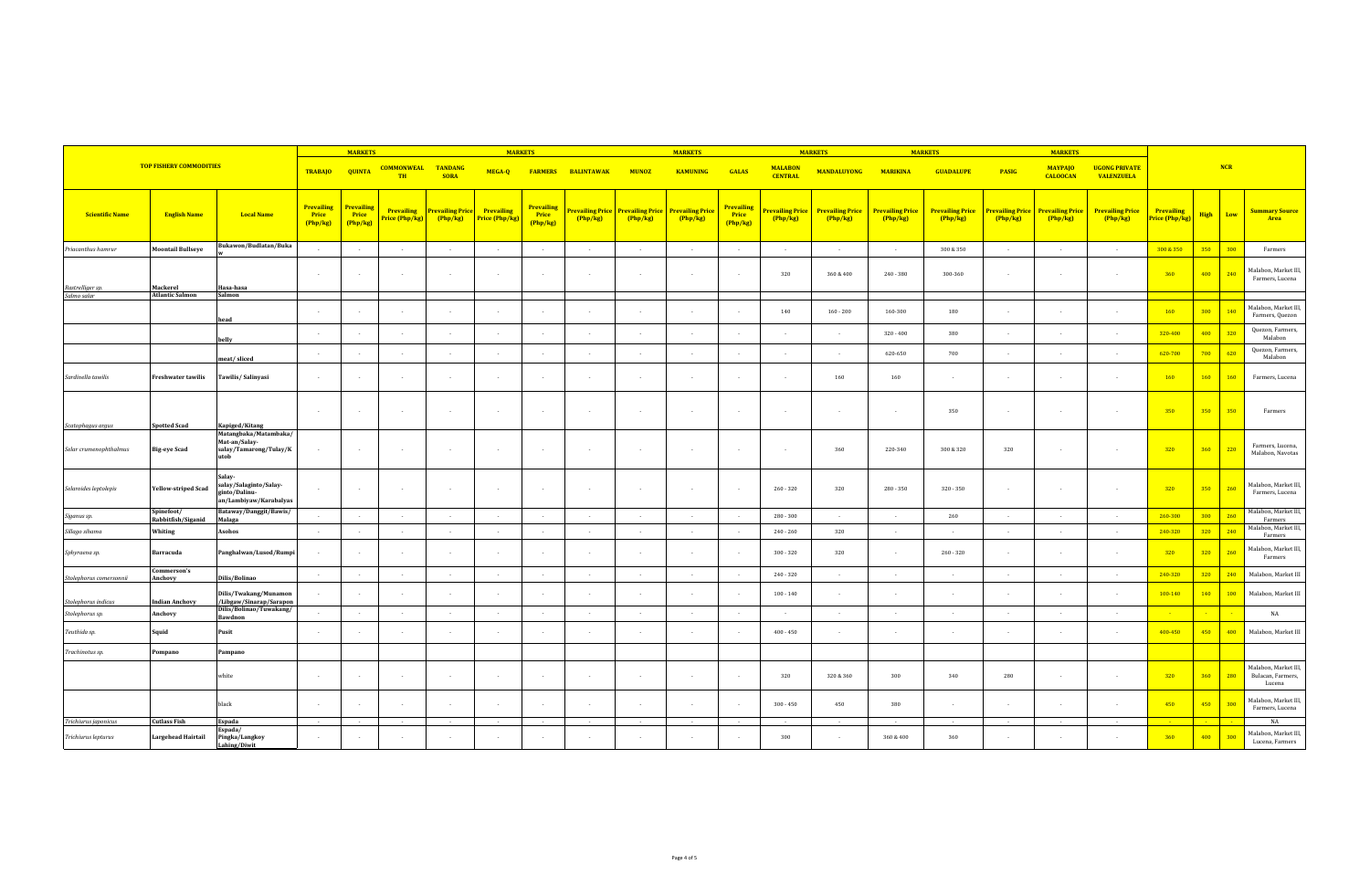| <b>TOP FISHERY COMMODITIES</b>              |                                     |                                                                                            |                                        | <b>MARKETS</b>                         |                                     |                                     | <b>MARKETS</b>                      |                                      |                                   |                                   | <b>MARKETS</b>                    |                                 |                                   | <b>MARKETS</b>                      |                                   | <b>MARKETS</b>                    |                                   | <b>MARKETS</b>                    |                                           |                                     |      |     |                                                     |
|---------------------------------------------|-------------------------------------|--------------------------------------------------------------------------------------------|----------------------------------------|----------------------------------------|-------------------------------------|-------------------------------------|-------------------------------------|--------------------------------------|-----------------------------------|-----------------------------------|-----------------------------------|---------------------------------|-----------------------------------|-------------------------------------|-----------------------------------|-----------------------------------|-----------------------------------|-----------------------------------|-------------------------------------------|-------------------------------------|------|-----|-----------------------------------------------------|
|                                             |                                     |                                                                                            | <b>TRABAJO</b>                         | <b>QUINTA</b>                          | <b>COMMONWEAL</b><br><b>TH</b>      | <b>TANDANG</b><br><b>SORA</b>       | MEGA-Q                              |                                      | <b>FARMERS BALINTAWAK</b>         | <b>MUNOZ</b>                      | <b>KAMUNING</b>                   | <b>GALAS</b>                    | <b>MALABON</b><br><b>CENTRAL</b>  | <b>MANDALUYONG</b>                  | <b>MARIKINA</b>                   | <b>GUADALUPE</b>                  | <b>PASIG</b>                      | <b>MAYPAJO</b><br><b>CALOOCAN</b> | <b>UGONG PRIVATE</b><br><b>VALENZUELA</b> |                                     |      | NCR |                                                     |
| <b>Scientific Name</b>                      | <b>English Name</b>                 | <b>Local Name</b>                                                                          | <b>Prevailing</b><br>Price<br>(Php/kg) | <b>Prevailing</b><br>Price<br>(Php/kg) | <b>Prevailing</b><br>Price (Php/kg) | <b>Prevailing Price</b><br>(Php/kg) | <b>Prevailing</b><br>Price (Php/kg) | <b>Prevailing</b><br>Price<br>Php/kg | <b>Prevailing Price</b><br>Php/kg | <b>Prevailing Price</b><br>Php/kg | <b>Prevailing Price</b><br>Php/kg | Prevailing<br>Price<br>(Php/kg) | <b>Prevailing Price</b><br>Php/kg | <b>Prevailing Price</b><br>(Php/kg) | <b>Prevailing Price</b><br>Php/kg | <b>Prevailing Price</b><br>Php/kg | <b>Prevailing Price</b><br>Php/kg | <b>Prevailing Price</b><br>Php/kg | <b>Prevailing Price</b><br>Php/kg         | <b>Prevailing</b><br>Price (Php/kg) | High | Low | <b>Summary Source</b><br>Area                       |
| Priacanthus hamrur                          | <b>Moontail Bullseye</b>            | Bukawon/Budlatan/Buka                                                                      | $\sim$                                 |                                        | $\overline{\phantom{a}}$            | $\sim$                              | $\sim$                              |                                      | $\sim$                            | . .                               | $\sim$                            | $\sim$                          | $\overline{\phantom{a}}$          | $\sim$                              | $\sim$                            | 300 & 350                         | $\sim$                            | $\sim$                            | $\sim$                                    | 300 & 350                           | 350  | 300 | Farmers                                             |
| Rastrelliger sp.                            | Mackerel                            | Hasa-hasa                                                                                  | $\sim$                                 |                                        | $\sim$                              | $\sim$                              | $\sim$                              |                                      |                                   |                                   |                                   | $\sim$                          | 320                               | 360 & 400                           | 240 - 380                         | 300-360                           |                                   |                                   | $\sim$                                    | 360                                 | 400  | 240 | Malabon, Market III,<br>Farmers, Lucena             |
| Salmo salar                                 | <b>Atlantic Salmon</b>              | Salmon                                                                                     |                                        |                                        |                                     |                                     |                                     |                                      |                                   |                                   |                                   |                                 |                                   |                                     |                                   |                                   |                                   |                                   |                                           |                                     |      |     |                                                     |
|                                             |                                     | head                                                                                       |                                        |                                        |                                     |                                     |                                     |                                      |                                   |                                   |                                   |                                 | 140                               | $160 - 200$                         | 160-300                           | 180                               |                                   |                                   |                                           | 160                                 | 300  | 140 | Malabon, Market III,<br>Farmers, Quezon             |
|                                             |                                     | belly                                                                                      | $\sim$                                 |                                        | $\overline{\phantom{a}}$            | $\sim$                              | $\sim$                              |                                      |                                   |                                   |                                   | $\sim$                          | $\overline{\phantom{a}}$          | $\sim$                              | $320 - 400$                       | 380                               | $\sim$                            |                                   | $\sim$                                    | 320-400                             | 400  | 320 | Quezon, Farmers,<br>Malabon                         |
|                                             |                                     | meat/sliced                                                                                | $\sim$                                 |                                        | $\sim$                              | $\sim$                              | $\sim$                              |                                      | $\sim$                            | $\sim$                            | $\sim$                            | $\sim$                          | $\overline{\phantom{a}}$          | $\sim$                              | 620-650                           | 700                               | $\sim$                            |                                   | $\sim$                                    | 620-700                             | 700  | 620 | Quezon, Farmers,<br>Malabon                         |
| Sardinella tawilis                          | <b>Freshwater tawilis</b>           | Tawilis/ Salinyasi                                                                         | $\sim$                                 |                                        | $\sim$                              | $\sim$                              | $\sim$                              |                                      |                                   |                                   |                                   |                                 | $\sim$                            | 160                                 | 160                               | $\sim$                            | - 1                               |                                   | $\sim$                                    | 160                                 | 160  | 160 | Farmers, Lucena                                     |
|                                             |                                     |                                                                                            | $\sim$                                 | $\sim$                                 | $\sim$                              | $\sim$                              | $\sim$                              |                                      |                                   |                                   | $\sim$                            | $\sim$                          | $\sim$                            | $\sim$                              | $\sim$                            | 350                               | $\sim$                            | $\sim$                            | $\sim$                                    | 350                                 | 350  | 350 | Farmers                                             |
| Scatophagus argus<br>Selar crumenophthalmus | Spotted Scad<br><b>Big-eye Scad</b> | Kapiged/Kitang<br>Matangbaka/Matambaka/<br>Mat-an/Salay-<br>salay/Tamarong/Tulay/K<br>utob | $\sim$                                 | $\sim$                                 | $\sim$                              | $\sim$                              | $\sim$                              |                                      | - 11                              | - 1                               | $\sim$                            | $\sim$                          | $\sim$                            | 360                                 | 220-340                           | 300 & 320                         | 320                               | $\sim$                            | $\sim$                                    | 320                                 | 360  | 220 | Farmers, Lucena,<br>Malabon, Navotas                |
| Selaroides leptolepis                       | Yellow-striped Scad                 | Salay-<br>salay/Salaginto/Salay-<br>ginto/Dalinu-<br>an/Lambiyaw/Karabalyas                |                                        |                                        | $\overline{\phantom{a}}$            | $\sim$                              | $\sim$                              |                                      |                                   |                                   |                                   | $\sim$                          | $260 - 320$                       | 320                                 | $280 - 350$                       | 320 - 350                         |                                   |                                   | $\sim$                                    | 320                                 | 350  | 260 | Malabon, Market III,<br>Farmers, Lucena             |
| Siganus sp.                                 | Spinefoot/<br>Rabbitfish/Siganid    | Bataway/Danggit/Bawis/<br>Malaga                                                           | $\sim$                                 |                                        | $\sim$                              | $\sim$                              | $\sim$                              |                                      | $\sim$                            | - 1                               | $\sim$                            | $\sim$                          | 280 - 300                         | $\sim$                              | $\sim$                            | 260                               | $\sim$                            | $\sim$                            | $\sim$                                    | 260-300                             | 300  | 260 | Malabon, Market III,<br>Farmers                     |
| Sillago sihama                              | Whiting                             | Asohos                                                                                     | $\sim$                                 |                                        | $\overline{\phantom{a}}$            | $\sim$                              | $\sim$                              |                                      | $\sim$                            | $\sim$                            | $\sim$                            |                                 | $240 - 260$                       | 320                                 | $\sim$                            |                                   | $\sim$                            | $\sim$                            | $\sim$                                    | 240-320                             | 320  | 240 | Malabon, Market III,<br>Farmers                     |
| Sphyraena sp.                               | Barracuda                           | Panghalwan/Lusod/Rumpi                                                                     |                                        |                                        | $\sim$                              | $\sim$                              | $\sim$                              |                                      |                                   |                                   |                                   |                                 | $300 - 320$                       | 320                                 | $\sim$                            | $260 - 320$                       |                                   |                                   | $\sim$                                    | 320                                 | 320  | 260 | Malabon, Market III,<br>Farmers                     |
| Stolephorus comersonni                      | Commerson's<br>Anchovy              | Dilis/Bolinao                                                                              | $\sim$                                 | $\sim$                                 | $\sim$                              | $\sim$                              | $\sim$                              | $\sim$                               | $\sim$                            | $\sim$                            | $\sim$                            |                                 | $240 - 320$                       | $\sim$                              | $\sim$                            | $\sim$                            | $\sim$                            | $\sim$                            | $\sim$                                    | 240-320                             | 320  | 240 | Malabon, Market III                                 |
| Stolephorus indicus                         | <b>Indian Anchovy</b>               | Dilis/Twakang/Munamon<br>/Libgaw/Sinarap/Sarapon                                           |                                        | $\sim$                                 | $\overline{a}$                      | $\sim$                              | $\sim$                              |                                      |                                   |                                   | $\overline{\phantom{a}}$          |                                 | $100 - 140$                       | $\sim$                              | $\sim$                            | $\sim$                            | . .                               |                                   | $\sim$                                    | 100-140                             | 140  | 100 | Malabon, Market III                                 |
| Stolephorus sp.                             | Anchovy                             | Dilis/Bolinao/Tuwakang/<br>Bawdnon                                                         | $\sim$                                 | $\sim$                                 | $\sim$                              | n.                                  | $\sim$                              |                                      |                                   |                                   |                                   |                                 |                                   |                                     | $\sim$                            |                                   | $\sim$                            |                                   | $\sim$                                    |                                     |      |     | NA                                                  |
| Teuthida sp.                                | Squid                               | Pusit                                                                                      | $\sim$                                 |                                        | $\overline{\phantom{a}}$            | $\sim$                              | $\sim$                              |                                      |                                   |                                   |                                   |                                 | $400 - 450$                       | $\sim$                              | $\ddot{\phantom{a}}$              | . .                               | $\sim$                            | $\sim$                            | $\ddot{\phantom{a}}$                      | 400-450                             | 450  | 400 | Malabon, Market III                                 |
| Trachinotus sp.                             | Pompano                             | Pampano                                                                                    |                                        |                                        |                                     |                                     |                                     |                                      |                                   |                                   |                                   |                                 |                                   |                                     |                                   |                                   |                                   |                                   |                                           |                                     |      |     |                                                     |
|                                             |                                     | white                                                                                      | $\sim$                                 |                                        | $\sim$                              | $\sim$                              | $\sim$                              |                                      |                                   |                                   |                                   |                                 | 320                               | 320 & 360                           | 300                               | 340                               | 280                               |                                   | $\sim$                                    | 320                                 | 360  | 280 | Malabon, Market III,<br>Bulacan, Farmers,<br>Lucena |
|                                             |                                     | black                                                                                      | $\sim$ 100 $\mu$                       |                                        | $\sim$                              | $\sim$                              | $\sim$                              |                                      |                                   |                                   |                                   |                                 | $300 - 450$                       | 450                                 | 380                               | $\sim$                            |                                   | $\sim$                            | $\sim$                                    | 450                                 | 450  | 300 | Malabon, Market III,<br>Farmers, Lucena             |
| Trichiurus japonicus                        | <b>Cutlass Fish</b>                 | Espada<br>Espada/                                                                          | $\sim$                                 |                                        | $\sim$                              |                                     | $\sim$                              |                                      |                                   |                                   |                                   |                                 |                                   |                                     | $\sim$                            | $\sim$                            |                                   |                                   | $\sim$                                    |                                     |      |     | NA                                                  |
| Trichiurus lepturus                         | <b>Largehead Hairtail</b>           | Pingka/Langkoy<br>Lahing/Diwit                                                             | $\sim$                                 |                                        |                                     |                                     |                                     |                                      |                                   |                                   |                                   |                                 | 300                               |                                     | 360 & 400                         | 360                               |                                   |                                   |                                           | 360                                 | 400  | 300 | Malabon, Market III,<br>Lucena, Farmers             |